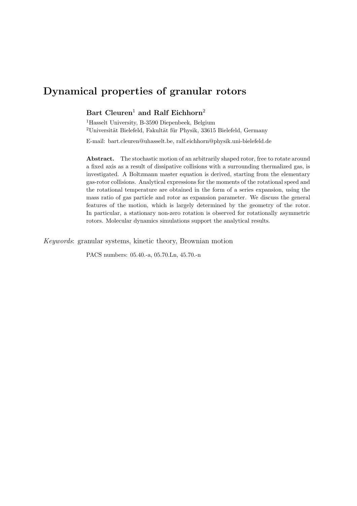# Dynamical properties of granular rotors

# Bart Cleuren<sup>1</sup> and Ralf Eichhorn<sup>2</sup>

<sup>1</sup>Hasselt University, B-3590 Diepenbeek, Belgium <sup>2</sup>Universität Bielefeld, Fakultät für Physik, 33615 Bielefeld, Germany

E-mail: bart.cleuren@uhasselt.be, ralf.eichhorn@physik.uni-bielefeld.de

Abstract. The stochastic motion of an arbitrarily shaped rotor, free to rotate around a fixed axis as a result of dissipative collisions with a surrounding thermalized gas, is investigated. A Boltzmann master equation is derived, starting from the elementary gas-rotor collisions. Analytical expressions for the moments of the rotational speed and the rotational temperature are obtained in the form of a series expansion, using the mass ratio of gas particle and rotor as expansion parameter. We discuss the general features of the motion, which is largely determined by the geometry of the rotor. In particular, a stationary non-zero rotation is observed for rotationally asymmetric rotors. Molecular dynamics simulations support the analytical results.

Keywords: granular systems, kinetic theory, Brownian motion

PACS numbers: 05.40.-a, 05.70.Ln, 45.70.-n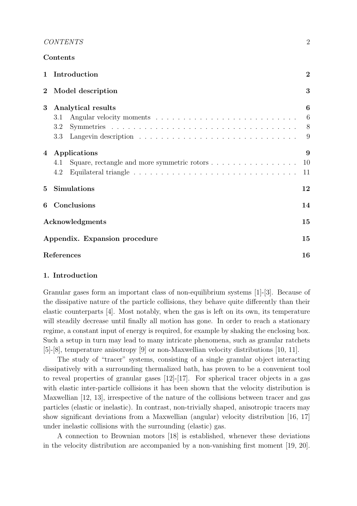|                 | Contents                                                                  |                                 |
|-----------------|---------------------------------------------------------------------------|---------------------------------|
| $\mathbf{1}$    | Introduction                                                              | $\overline{2}$                  |
| $\bf{2}$        | Model description                                                         | 3                               |
| 3               | Analytical results<br>3.1<br>3.2<br>3.3                                   | $\boldsymbol{6}$<br>6<br>8<br>9 |
| $\overline{4}$  | Applications<br>Square, rectangle and more symmetric rotors<br>4.1<br>4.2 | 9<br>10<br>11                   |
| $5\overline{)}$ | <b>Simulations</b>                                                        | 12                              |
| 6               | Conclusions                                                               | 14                              |
|                 | Acknowledgments                                                           | 15                              |
|                 | Appendix. Expansion procedure                                             | 15                              |
| References      |                                                                           | 16                              |

# 1. Introduction

Granular gases form an important class of non-equilibrium systems [1]-[3]. Because of the dissipative nature of the particle collisions, they behave quite differently than their elastic counterparts [4]. Most notably, when the gas is left on its own, its temperature will steadily decrease until finally all motion has gone. In order to reach a stationary regime, a constant input of energy is required, for example by shaking the enclosing box. Such a setup in turn may lead to many intricate phenomena, such as granular ratchets [5]-[8], temperature anisotropy [9] or non-Maxwellian velocity distributions [10, 11].

The study of "tracer" systems, consisting of a single granular object interacting dissipatively with a surrounding thermalized bath, has proven to be a convenient tool to reveal properties of granular gases [12]-[17]. For spherical tracer objects in a gas with elastic inter-particle collisions it has been shown that the velocity distribution is Maxwellian [12, 13], irrespective of the nature of the collisions between tracer and gas particles (elastic or inelastic). In contrast, non-trivially shaped, anisotropic tracers may show significant deviations from a Maxwellian (angular) velocity distribution [16, 17] under inelastic collisions with the surrounding (elastic) gas.

A connection to Brownian motors [18] is established, whenever these deviations in the velocity distribution are accompanied by a non-vanishing first moment [19, 20].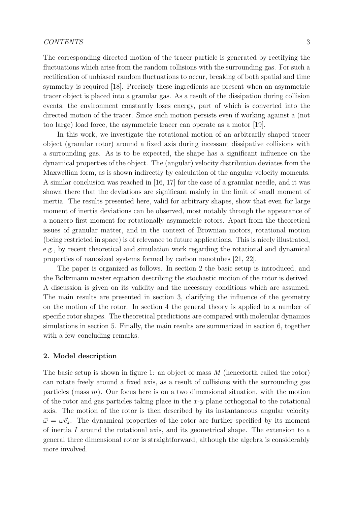The corresponding directed motion of the tracer particle is generated by rectifying the fluctuations which arise from the random collisions with the surrounding gas. For such a rectification of unbiased random fluctuations to occur, breaking of both spatial and time symmetry is required [18]. Precisely these ingredients are present when an asymmetric tracer object is placed into a granular gas. As a result of the dissipation during collision events, the environment constantly loses energy, part of which is converted into the directed motion of the tracer. Since such motion persists even if working against a (not too large) load force, the asymmetric tracer can operate as a motor [19].

In this work, we investigate the rotational motion of an arbitrarily shaped tracer object (granular rotor) around a fixed axis during incessant dissipative collisions with a surrounding gas. As is to be expected, the shape has a significant influence on the dynamical properties of the object. The (angular) velocity distribution deviates from the Maxwellian form, as is shown indirectly by calculation of the angular velocity moments. A similar conclusion was reached in [16, 17] for the case of a granular needle, and it was shown there that the deviations are significant mainly in the limit of small moment of inertia. The results presented here, valid for arbitrary shapes, show that even for large moment of inertia deviations can be observed, most notably through the appearance of a nonzero first moment for rotationally asymmetric rotors. Apart from the theoretical issues of granular matter, and in the context of Brownian motors, rotational motion (being restricted in space) is of relevance to future applications. This is nicely illustrated, e.g., by recent theoretical and simulation work regarding the rotational and dynamical properties of nanosized systems formed by carbon nanotubes [21, 22].

The paper is organized as follows. In section 2 the basic setup is introduced, and the Boltzmann master equation describing the stochastic motion of the rotor is derived. A discussion is given on its validity and the necessary conditions which are assumed. The main results are presented in section 3, clarifying the influence of the geometry on the motion of the rotor. In section 4 the general theory is applied to a number of specific rotor shapes. The theoretical predictions are compared with molecular dynamics simulations in section 5. Finally, the main results are summarized in section 6, together with a few concluding remarks.

# 2. Model description

The basic setup is shown in figure 1: an object of mass  $M$  (henceforth called the rotor) can rotate freely around a fixed axis, as a result of collisions with the surrounding gas particles (mass  $m$ ). Our focus here is on a two dimensional situation, with the motion of the rotor and gas particles taking place in the  $x-y$  plane orthogonal to the rotational axis. The motion of the rotor is then described by its instantaneous angular velocity  $\vec{\omega} = \omega \vec{e}_z$ . The dynamical properties of the rotor are further specified by its moment of inertia I around the rotational axis, and its geometrical shape. The extension to a general three dimensional rotor is straightforward, although the algebra is considerably more involved.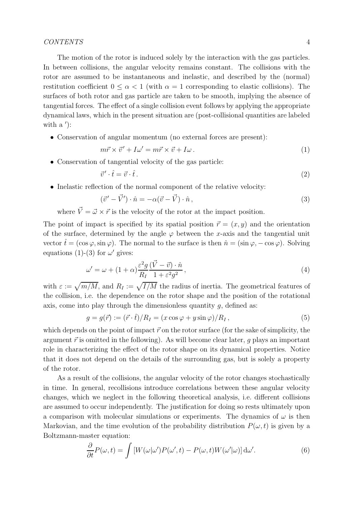The motion of the rotor is induced solely by the interaction with the gas particles. In between collisions, the angular velocity remains constant. The collisions with the rotor are assumed to be instantaneous and inelastic, and described by the (normal) restitution coefficient  $0 \leq \alpha < 1$  (with  $\alpha = 1$  corresponding to elastic collisions). The surfaces of both rotor and gas particle are taken to be smooth, implying the absence of tangential forces. The effect of a single collision event follows by applying the appropriate dynamical laws, which in the present situation are (post-collisional quantities are labeled with  $a'$ :

• Conservation of angular momentum (no external forces are present):

$$
m\vec{r} \times \vec{v}' + I\omega' = m\vec{r} \times \vec{v} + I\omega.
$$
 (1)

• Conservation of tangential velocity of the gas particle:

$$
\vec{v}' \cdot \hat{t} = \vec{v} \cdot \hat{t} \,. \tag{2}
$$

• Inelastic reflection of the normal component of the relative velocity:

$$
(\vec{v}' - \vec{V}') \cdot \hat{n} = -\alpha(\vec{v} - \vec{V}) \cdot \hat{n}, \qquad (3)
$$

where  $\vec{V} = \vec{\omega} \times \vec{r}$  is the velocity of the rotor at the impact position.

The point of impact is specified by its spatial position  $\vec{r} = (x, y)$  and the orientation of the surface, determined by the angle  $\varphi$  between the x-axis and the tangential unit vector  $\hat{t} = (\cos \varphi, \sin \varphi)$ . The normal to the surface is then  $\hat{n} = (\sin \varphi, -\cos \varphi)$ . Solving equations (1)-(3) for  $\omega'$  gives:

$$
\omega' = \omega + (1 + \alpha) \frac{\varepsilon^2 g}{R_I} \frac{(\vec{V} - \vec{v}) \cdot \hat{n}}{1 + \varepsilon^2 g^2},\tag{4}
$$

with  $\varepsilon := \sqrt{m/M}$ , and  $R_I := \sqrt{I/M}$  the radius of inertia. The geometrical features of the collision, i.e. the dependence on the rotor shape and the position of the rotational axis, come into play through the dimensionless quantity  $q$ , defined as:

$$
g = g(\vec{r}) := (\vec{r} \cdot \hat{t})/R_I = (x \cos \varphi + y \sin \varphi)/R_I, \qquad (5)
$$

which depends on the point of impact  $\vec{r}$  on the rotor surface (for the sake of simplicity, the argument  $\vec{r}$  is omitted in the following). As will become clear later, q plays an important role in characterizing the effect of the rotor shape on its dynamical properties. Notice that it does not depend on the details of the surrounding gas, but is solely a property of the rotor.

As a result of the collisions, the angular velocity of the rotor changes stochastically in time. In general, recollisions introduce correlations between these angular velocity changes, which we neglect in the following theoretical analysis, i.e. different collisions are assumed to occur independently. The justification for doing so rests ultimately upon a comparison with molecular simulations or experiments. The dynamics of  $\omega$  is then Markovian, and the time evolution of the probability distribution  $P(\omega, t)$  is given by a Boltzmann-master equation:

$$
\frac{\partial}{\partial t}P(\omega,t) = \int \left[ W(\omega|\omega')P(\omega',t) - P(\omega,t)W(\omega'|\omega) \right] d\omega'.\tag{6}
$$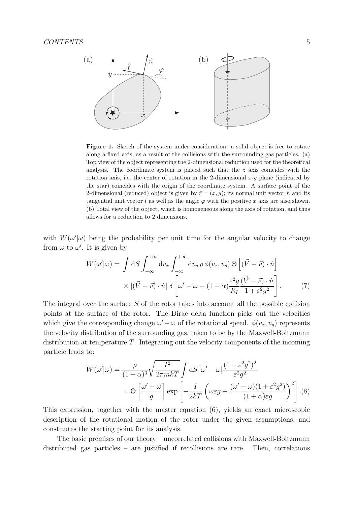

Figure 1. Sketch of the system under consideration: a solid object is free to rotate along a fixed axis, as a result of the collisions with the surrounding gas particles. (a) Top view of the object representing the 2-dimensional reduction used for the theoretical analysis. The coordinate system is placed such that the  $z$  axis coincides with the rotation axis, i.e. the center of rotation in the 2-dimensional  $x-y$  plane (indicated by the star) coincides with the origin of the coordinate system. A surface point of the 2-dimensional (reduced) object is given by  $\vec{r} = (x, y)$ ; its normal unit vector  $\hat{n}$  and its tangential unit vector  $\hat{t}$  as well as the angle  $\varphi$  with the positive x axis are also shown. (b) Total view of the object, which is homogeneous along the axis of rotation, and thus allows for a reduction to 2 dimensions.

with  $W(\omega'|\omega)$  being the probability per unit time for the angular velocity to change from  $\omega$  to  $\omega'$ . It is given by:

$$
W(\omega'|\omega) = \int dS \int_{-\infty}^{+\infty} dv_x \int_{-\infty}^{+\infty} dv_y \, \rho \, \phi(v_x, v_y) \, \Theta \left[ (\vec{V} - \vec{v}) \cdot \hat{n} \right] \times \left| (\vec{V} - \vec{v}) \cdot \hat{n} \right| \, \delta \left[ \omega' - \omega - (1 + \alpha) \frac{\varepsilon^2 g}{R_I} \frac{(\vec{V} - \vec{v}) \cdot \hat{n}}{1 + \varepsilon^2 g^2} \right]. \tag{7}
$$

The integral over the surface  $S$  of the rotor takes into account all the possible collision points at the surface of the rotor. The Dirac delta function picks out the velocities which give the corresponding change  $\omega' - \omega$  of the rotational speed.  $\phi(v_x, v_y)$  represents the velocity distribution of the surrounding gas, taken to be by the Maxwell-Boltzmann distribution at temperature T. Integrating out the velocity components of the incoming particle leads to:

$$
W(\omega'|\omega) = \frac{\rho}{(1+\alpha)^3} \sqrt{\frac{I^2}{2\pi mkT}} \int dS |\omega' - \omega| \frac{(1+\varepsilon^2 g^2)^2}{\varepsilon^2 g^2} \times \Theta \left[ \frac{\omega' - \omega}{g} \right] \exp \left[ -\frac{I}{2kT} \left( \omega \varepsilon g + \frac{(\omega' - \omega)(1+\varepsilon^2 g^2)}{(1+\alpha)\varepsilon g} \right)^2 \right]. (8)
$$

This expression, together with the master equation (6), yields an exact microscopic description of the rotational motion of the rotor under the given assumptions, and constitutes the starting point for its analysis.

The basic premises of our theory – uncorrelated collisions with Maxwell-Boltzmann distributed gas particles – are justified if recollisions are rare. Then, correlations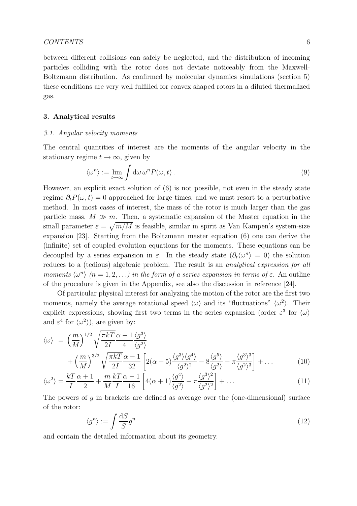between different collisions can safely be neglected, and the distribution of incoming particles colliding with the rotor does not deviate noticeably from the Maxwell-Boltzmann distribution. As confirmed by molecular dynamics simulations (section 5) these conditions are very well fulfilled for convex shaped rotors in a diluted thermalized gas.

### 3. Analytical results

#### 3.1. Angular velocity moments

The central quantities of interest are the moments of the angular velocity in the stationary regime  $t \to \infty$ , given by

$$
\langle \omega^n \rangle := \lim_{t \to \infty} \int d\omega \, \omega^n P(\omega, t) \,. \tag{9}
$$

However, an explicit exact solution of (6) is not possible, not even in the steady state regime  $\partial_t P(\omega, t) = 0$  approached for large times, and we must resort to a perturbative method. In most cases of interest, the mass of the rotor is much larger than the gas particle mass,  $M \gg m$ . Then, a systematic expansion of the Master equation in the small parameter  $\varepsilon = \sqrt{m/M}$  is feasible, similar in spirit as Van Kampen's system-size expansion [23]. Starting from the Boltzmann master equation (6) one can derive the (infinite) set of coupled evolution equations for the moments. These equations can be decoupled by a series expansion in  $\varepsilon$ . In the steady state  $(\partial_t \langle \omega^n \rangle = 0)$  the solution reduces to a (tedious) algebraic problem. The result is an *analytical expression for all* moments  $\langle \omega^n \rangle$   $(n = 1, 2, ...)$  in the form of a series expansion in terms of  $\varepsilon$ . An outline of the procedure is given in the Appendix, see also the discussion in reference [24].

Of particular physical interest for analyzing the motion of the rotor are the first two moments, namely the average rotational speed  $\langle \omega \rangle$  and its "fluctuations"  $\langle \omega^2 \rangle$ . Their explicit expressions, showing first two terms in the series expansion (order  $\varepsilon^3$  for  $\langle \omega \rangle$ and  $\varepsilon^4$  for  $\langle \omega^2 \rangle$ ), are given by:

$$
\langle \omega \rangle = \left(\frac{m}{M}\right)^{1/2} \sqrt{\frac{\pi k T}{2I}} \frac{\alpha - 1}{4} \frac{\langle g^3 \rangle}{\langle g^2 \rangle} + \left(\frac{m}{M}\right)^{3/2} \sqrt{\frac{\pi k T}{2I}} \frac{\alpha - 1}{32} \left[2(\alpha + 5) \frac{\langle g^3 \rangle \langle g^4 \rangle}{\langle g^2 \rangle^2} - 8 \frac{\langle g^5 \rangle}{\langle g^2 \rangle} - \pi \frac{\langle g^3 \rangle^3}{\langle g^2 \rangle^3}\right] + \dots \tag{10}
$$

$$
\langle \omega^2 \rangle = \frac{kT}{I} \frac{\alpha + 1}{2} + \frac{m}{M} \frac{kT}{I} \frac{\alpha - 1}{16} \left[ 4(\alpha + 1) \frac{\langle g^4 \rangle}{\langle g^2 \rangle} - \pi \frac{\langle g^3 \rangle^2}{\langle g^2 \rangle^2} \right] + \dots \tag{11}
$$

The powers of  $q$  in brackets are defined as average over the (one-dimensional) surface of the rotor:

$$
\langle g^n \rangle := \int \frac{\mathrm{d}S}{S} g^n \tag{12}
$$

and contain the detailed information about its geometry.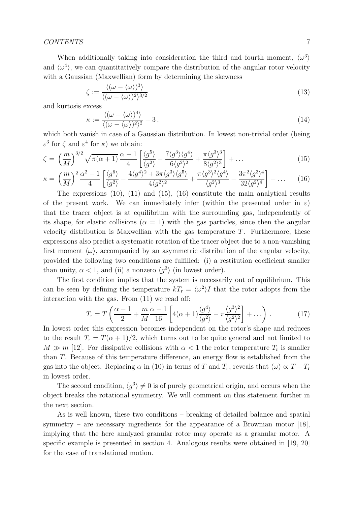When additionally taking into consideration the third and fourth moment,  $\langle \omega^3 \rangle$ and  $\langle \omega^4 \rangle$ , we can quantitatively compare the distribution of the angular rotor velocity with a Gaussian (Maxwellian) form by determining the skewness

$$
\zeta := \frac{\langle (\omega - \langle \omega \rangle)^3 \rangle}{\langle (\omega - \langle \omega \rangle)^2 \rangle^{3/2}}
$$
\n(13)

and kurtosis excess

$$
\kappa := \frac{\langle (\omega - \langle \omega \rangle)^4 \rangle}{\langle (\omega - \langle \omega \rangle)^2 \rangle^2} - 3, \qquad (14)
$$

which both vanish in case of a Gaussian distribution. In lowest non-trivial order (being  $\varepsilon^3$  for  $\zeta$  and  $\varepsilon^4$  for  $\kappa$ ) we obtain:

$$
\zeta = \left(\frac{m}{M}\right)^{3/2} \sqrt{\pi(\alpha+1)} \frac{\alpha-1}{4} \left[ \frac{\langle g^5 \rangle}{\langle g^2 \rangle} - \frac{7 \langle g^3 \rangle \langle g^4 \rangle}{6 \langle g^2 \rangle^2} + \frac{\pi \langle g^3 \rangle^3}{8 \langle g^2 \rangle^3} \right] + \dots \tag{15}
$$

$$
\kappa = \left(\frac{m}{M}\right)^2 \frac{\alpha^2 - 1}{4} \left[ \frac{\langle g^6 \rangle}{\langle g^2 \rangle} - \frac{4 \langle g^4 \rangle^2 + 3\pi \langle g^3 \rangle \langle g^5 \rangle}{4 \langle g^2 \rangle^2} + \frac{\pi \langle g^3 \rangle^2 \langle g^4 \rangle}{\langle g^2 \rangle^3} - \frac{3\pi^2 \langle g^3 \rangle^4}{32 \langle g^2 \rangle^4} \right] + \dots \tag{16}
$$

The expressions (10), (11) and (15), (16) constitute the main analytical results of the present work. We can immediately infer (within the presented order in  $\varepsilon$ ) that the tracer object is at equilibrium with the surrounding gas, independently of its shape, for elastic collisions  $(\alpha = 1)$  with the gas particles, since then the angular velocity distribution is Maxwellian with the gas temperature  $T$ . Furthermore, these expressions also predict a systematic rotation of the tracer object due to a non-vanishing first moment  $\langle \omega \rangle$ , accompanied by an asymmetric distribution of the angular velocity, provided the following two conditions are fulfilled: (i) a restitution coefficient smaller than unity,  $\alpha < 1$ , and (ii) a nonzero  $\langle g^3 \rangle$  (in lowest order).

The first condition implies that the system is necessarily out of equilibrium. This can be seen by defining the temperature  $kT_r = \langle \omega^2 \rangle I$  that the rotor adopts from the interaction with the gas. From (11) we read off:

$$
T_{\rm r} = T\left(\frac{\alpha+1}{2} + \frac{m}{M}\frac{\alpha-1}{16}\left[4(\alpha+1)\frac{\langle g^4 \rangle}{\langle g^2 \rangle} - \pi\frac{\langle g^3 \rangle^2}{\langle g^2 \rangle^2}\right] + \ldots\right). \tag{17}
$$

In lowest order this expression becomes independent on the rotor's shape and reduces to the result  $T_r = T(\alpha + 1)/2$ , which turns out to be quite general and not limited to  $M \gg m$  [12]. For dissipative collisions with  $\alpha < 1$  the rotor temperature  $T_r$  is smaller than T. Because of this temperature difference, an energy flow is established from the gas into the object. Replacing  $\alpha$  in (10) in terms of T and  $T_r$ , reveals that  $\langle \omega \rangle \propto T - T_r$ in lowest order.

The second condition,  $\langle g^3 \rangle \neq 0$  is of purely geometrical origin, and occurs when the object breaks the rotational symmetry. We will comment on this statement further in the next section.

As is well known, these two conditions – breaking of detailed balance and spatial symmetry – are necessary ingredients for the appearance of a Brownian motor  $[18]$ , implying that the here analyzed granular rotor may operate as a granular motor. A specific example is presented in section 4. Analogous results were obtained in [19, 20] for the case of translational motion.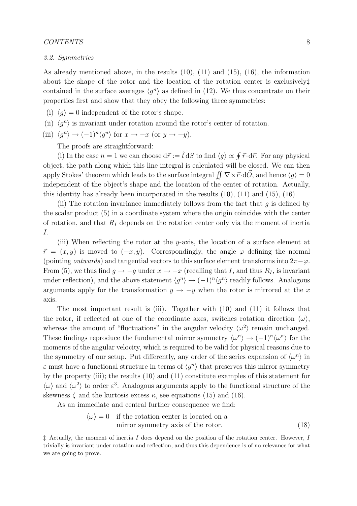#### 3.2. Symmetries

As already mentioned above, in the results (10), (11) and (15), (16), the information about the shape of the rotor and the location of the rotation center is exclusively‡ contained in the surface averages  $\langle g^n \rangle$  as defined in (12). We thus concentrate on their properties first and show that they obey the following three symmetries:

- (i)  $\langle q \rangle = 0$  independent of the rotor's shape.
- (ii)  $\langle g^n \rangle$  is invariant under rotation around the rotor's center of rotation.

(iii) 
$$
\langle g^n \rangle \to (-1)^n \langle g^n \rangle
$$
 for  $x \to -x$  (or  $y \to -y$ ).

The proofs are straightforward:

(i) In the case  $n = 1$  we can choose  $d\vec{r} := \hat{t} dS$  to find  $\langle g \rangle \propto \oint \vec{r} \cdot d\vec{r}$ . For any physical object, the path along which this line integral is calculated will be closed. We can then apply Stokes' theorem which leads to the surface integral  $\iint \nabla \times \vec{r} \cdot d\vec{O}$ , and hence  $\langle g \rangle = 0$ independent of the object's shape and the location of the center of rotation. Actually, this identity has already been incorporated in the results (10), (11) and (15), (16).

(ii) The rotation invariance immediately follows from the fact that  $g$  is defined by the scalar product (5) in a coordinate system where the origin coincides with the center of rotation, and that  $R_I$  depends on the rotation center only via the moment of inertia I.

(iii) When reflecting the rotor at the y-axis, the location of a surface element at  $\vec{r} = (x, y)$  is moved to  $(-x, y)$ . Correspondingly, the angle  $\varphi$  defining the normal (pointing *outwards*) and tangential vectors to this surface element transforms into  $2\pi - \varphi$ . From (5), we thus find  $g \to -g$  under  $x \to -x$  (recalling that I, and thus  $R_I$ , is invariant under reflection), and the above statement  $\langle g^n \rangle \to (-1)^n \langle g^n \rangle$  readily follows. Analogous arguments apply for the transformation  $y \rightarrow -y$  when the rotor is mirrored at the x axis.

The most important result is (iii). Together with (10) and (11) it follows that the rotor, if reflected at one of the coordinate axes, switches rotation direction  $\langle \omega \rangle$ , whereas the amount of "fluctuations" in the angular velocity  $\langle \omega^2 \rangle$  remain unchanged. These findings reproduce the fundamental mirror symmetry  $\langle \omega^n \rangle \to (-1)^n \langle \omega^n \rangle$  for the moments of the angular velocity, which is required to be valid for physical reasons due to the symmetry of our setup. Put differently, any order of the series expansion of  $\langle \omega^n \rangle$  in  $\varepsilon$  must have a functional structure in terms of  $\langle g^n \rangle$  that preserves this mirror symmetry by the property (iii); the results (10) and (11) constitute examples of this statement for  $\langle \omega \rangle$  and  $\langle \omega^2 \rangle$  to order  $\varepsilon^3$ . Analogous arguments apply to the functional structure of the skewness  $\zeta$  and the kurtosis excess  $\kappa$ , see equations (15) and (16).

As an immediate and central further consequence we find:

$$
\langle \omega \rangle = 0 \quad \text{if the rotation center is located on a}
$$
\nmirror symmetry axis of the rotor.

\n
$$
(18)
$$

 $\ddagger$  Actually, the moment of inertia I does depend on the position of the rotation center. However, I trivially is invariant under rotation and reflection, and thus this dependence is of no relevance for what we are going to prove.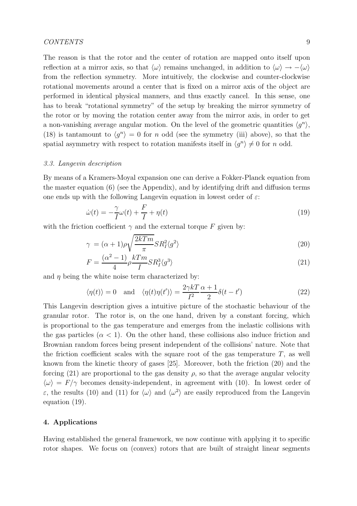The reason is that the rotor and the center of rotation are mapped onto itself upon reflection at a mirror axis, so that  $\langle \omega \rangle$  remains unchanged, in addition to  $\langle \omega \rangle \rightarrow -\langle \omega \rangle$ from the reflection symmetry. More intuitively, the clockwise and counter-clockwise rotational movements around a center that is fixed on a mirror axis of the object are performed in identical physical manners, and thus exactly cancel. In this sense, one has to break "rotational symmetry" of the setup by breaking the mirror symmetry of the rotor or by moving the rotation center away from the mirror axis, in order to get a non-vanishing average angular motion. On the level of the geometric quantities  $\langle g^n \rangle$ , (18) is tantamount to  $\langle g^n \rangle = 0$  for n odd (see the symmetry (iii) above), so that the spatial asymmetry with respect to rotation manifests itself in  $\langle g^n \rangle \neq 0$  for n odd.

#### 3.3. Langevin description

By means of a Kramers-Moyal expansion one can derive a Fokker-Planck equation from the master equation (6) (see the Appendix), and by identifying drift and diffusion terms one ends up with the following Langevin equation in lowest order of  $\varepsilon$ :

$$
\dot{\omega}(t) = -\frac{\gamma}{I}\omega(t) + \frac{F}{I} + \eta(t)
$$
\n(19)

with the friction coefficient  $\gamma$  and the external torque F given by:

$$
\gamma = (\alpha + 1)\rho \sqrt{\frac{2kTm}{\pi}} SR_I^2 \langle g^2 \rangle \tag{20}
$$

$$
F = \frac{(\alpha^2 - 1)}{4} \rho \frac{kTm}{I} S R_I^3 \langle g^3 \rangle \tag{21}
$$

and  $\eta$  being the white noise term characterized by:

$$
\langle \eta(t) \rangle = 0
$$
 and  $\langle \eta(t) \eta(t') \rangle = \frac{2\gamma k T}{I^2} \frac{\alpha + 1}{2} \delta(t - t')$  (22)

This Langevin description gives a intuitive picture of the stochastic behaviour of the granular rotor. The rotor is, on the one hand, driven by a constant forcing, which is proportional to the gas temperature and emerges from the inelastic collisions with the gas particles  $(\alpha < 1)$ . On the other hand, these collisions also induce friction and Brownian random forces being present independent of the collisions' nature. Note that the friction coefficient scales with the square root of the gas temperature  $T$ , as well known from the kinetic theory of gases [25]. Moreover, both the friction (20) and the forcing (21) are proportional to the gas density  $\rho$ , so that the average angular velocity  $\langle \omega \rangle = F/\gamma$  becomes density-independent, in agreement with (10). In lowest order of  $\varepsilon$ , the results (10) and (11) for  $\langle \omega \rangle$  and  $\langle \omega^2 \rangle$  are easily reproduced from the Langevin equation (19).

#### 4. Applications

Having established the general framework, we now continue with applying it to specific rotor shapes. We focus on (convex) rotors that are built of straight linear segments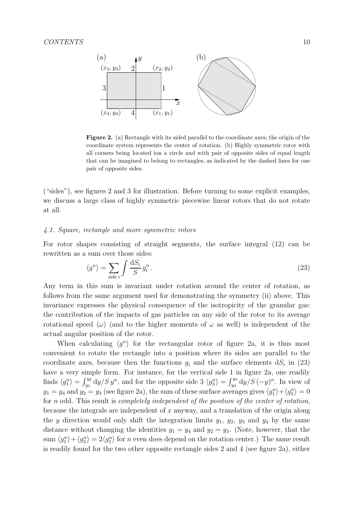

Figure 2. (a) Rectangle with its sided parallel to the coordinate axes; the origin of the coordinate system represents the center of rotation. (b) Highly symmetric rotor with all corners being located ion a circle and with pair of opposite sides of equal length that can be imagined to belong to rectangles, as indicated by the dashed lines for one pair of opposite sides.

("sides"), see figures 2 and 3 for illustration. Before turning to some explicit examples, we discuss a large class of highly symmetric piecewise linear rotors that do not rotate at all.

# 4.1. Square, rectangle and more symmetric rotors

For rotor shapes consisting of straight segments, the surface integral (12) can be rewritten as a sum over those sides:

$$
\langle g^n \rangle = \sum_{\text{side } i} \int \frac{\mathrm{d}S_i}{S} g_i^n \,. \tag{23}
$$

Any term in this sum is invariant under rotation around the center of rotation, as follows from the same argument used for demonstrating the symmetry (ii) above. This invariance expresses the physical consequence of the isotropicity of the granular gas: the contribution of the impacts of gas particles on any side of the rotor to its average rotational speed  $\langle \omega \rangle$  (and to the higher moments of  $\omega$  as well) is independent of the actual angular position of the rotor.

When calculating  $\langle g^n \rangle$  for the rectangular rotor of figure 2a, it is thus most convenient to rotate the rectangle into a position where its sides are parallel to the coordinate axes, because then the functions  $g_i$  and the surface elements  $dS_i$  in (23) have a very simple form. For instance, for the vertical side 1 in figure 2a, one readily finds  $\langle g_1^n \rangle = \int_{y_1}^{y_2} dy/S y^n$ , and for the opposite side 3  $\langle g_3^n \rangle = \int_{y_4}^{y_3} dy/S (-y)^n$ . In view of  $y_1 = y_4$  and  $y_2 = y_3$  (see figure 2a), the sum of these surface averages gives  $\langle g_1^n \rangle + \langle g_3^n \rangle = 0$ for n odd. This result is *completely independent of the position of the center of rotation*, because the integrals are independent of x anyway, and a translation of the origin along the y direction would only shift the integration limits  $y_1, y_2, y_3$  and  $y_4$  by the same distance without changing the identities  $y_1 = y_4$  and  $y_2 = y_3$ . (Note, however, that the sum  $\langle g_1^n \rangle + \langle g_3^n \rangle = 2\langle g_1^n \rangle$  for n even does depend on the rotation center.) The same result is readily found for the two other opposite rectangle sides 2 and 4 (see figure 2a), either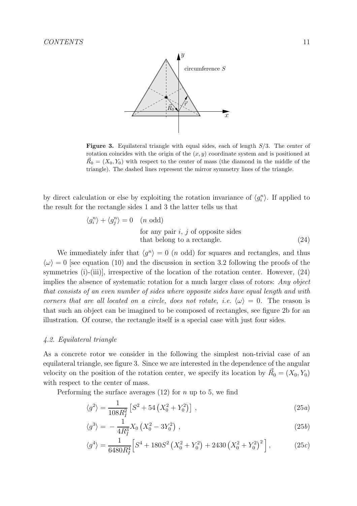

**Figure 3.** Equilateral triangle with equal sides, each of length  $S/3$ . The center of rotation coincides with the origin of the  $(x, y)$  coordinate system and is positioned at  $\vec{R}_0 = (X_0, Y_0)$  with respect to the center of mass (the diamond in the middle of the triangle). The dashed lines represent the mirror symmetry lines of the triangle.

by direct calculation or else by exploiting the rotation invariance of  $\langle g_i^n \rangle$ . If applied to the result for the rectangle sides 1 and 3 the latter tells us that

$$
\langle g_i^n \rangle + \langle g_j^n \rangle = 0 \quad (n \text{ odd})
$$
  
for any pair *i*, *j* of opposite sides  
that belong to a rectangle. (24)

We immediately infer that  $\langle g^n \rangle = 0$  (*n* odd) for squares and rectangles, and thus  $\langle \omega \rangle = 0$  [see equation (10) and the discussion in section 3.2 following the proofs of the symmetries (i)-(iii)], irrespective of the location of the rotation center. However,  $(24)$ implies the absence of systematic rotation for a much larger class of rotors: Any object that consists of an even number of sides where opposite sides have equal length and with corners that are all located on a circle, does not rotate, i.e.  $\langle \omega \rangle = 0$ . The reason is that such an object can be imagined to be composed of rectangles, see figure 2b for an illustration. Of course, the rectangle itself is a special case with just four sides.

#### 4.2. Equilateral triangle

As a concrete rotor we consider in the following the simplest non-trivial case of an equilateral triangle, see figure 3. Since we are interested in the dependence of the angular velocity on the position of the rotation center, we specify its location by  $\vec{R}_0 = (X_0, Y_0)$ with respect to the center of mass.

Performing the surface averages  $(12)$  for n up to 5, we find

$$
\langle g^2 \rangle = \frac{1}{108R_I^2} \left[ S^2 + 54 \left( X_0^2 + Y_0^2 \right) \right] \,, \tag{25a}
$$

$$
\langle g^3 \rangle = -\frac{1}{4R_I^3} X_0 \left( X_0^2 - 3Y_0^2 \right) , \qquad (25b)
$$

$$
\langle g^4 \rangle = \frac{1}{6480R_I^4} \Big[ S^4 + 180S^2 \left( X_0^2 + Y_0^2 \right) + 2430 \left( X_0^2 + Y_0^2 \right)^2 \Big], \tag{25c}
$$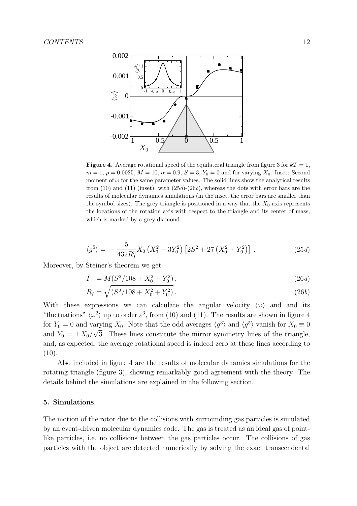

**Figure 4.** Average rotational speed of the equilateral triangle from figure 3 for  $kT = 1$ ,  $m = 1, \rho = 0.0025, M = 10, \alpha = 0.9, S = 3, Y_0 = 0$  and for varying  $X_0$ . Inset: Second moment of  $\omega$  for the same parameter values. The solid lines show the analytical results from  $(10)$  and  $(11)$  (inset), with  $(25a)-(26b)$ , whereas the dots with error bars are the results of molecular dynamics simulations (in the inset, the error bars are smaller than the symbol sizes). The grey triangle is positioned in a way that the  $X_0$  axis represents the locations of the rotation axis with respect to the triangle and its center of mass, which is marked by a grey diamond.

$$
\langle g^5 \rangle = -\frac{5}{432R_I^5} X_0 \left( X_0^2 - 3Y_0^2 \right) \left[ 2S^2 + 27 \left( X_0^2 + Y_0^2 \right) \right] \,. \tag{25d}
$$

Moreover, by Steiner's theorem we get

$$
I = M(S^2/108 + X_0^2 + Y_0^2), \qquad (26a)
$$

$$
R_I = \sqrt{(S^2/108 + X_0^2 + Y_0^2)}.
$$
\n(26*b*)

With these expressions we can calculate the angular velocity  $\langle \omega \rangle$  and and its "fluctuations"  $\langle \omega^2 \rangle$  up to order  $\varepsilon^3$ , from (10) and (11). The results are shown in figure 4 for  $Y_0 = 0$  and varying  $X_0$ . Note that the odd averages  $\langle g^3 \rangle$  and  $\langle g^5 \rangle$  vanish for  $X_0 \equiv 0$ and  $Y_0 = \pm X_0/\sqrt{3}$ . These lines constitute the mirror symmetry lines of the triangle, and, as expected, the average rotational speed is indeed zero at these lines according to  $(10).$ 

Also included in figure 4 are the results of molecular dynamics simulations for the rotating triangle (figure 3), showing remarkably good agreement with the theory. The details behind the simulations are explained in the following section.

#### 5. Simulations

The motion of the rotor due to the collisions with surrounding gas particles is simulated by an event-driven molecular dynamics code. The gas is treated as an ideal gas of pointlike particles, i.e. no collisions between the gas particles occur. The collisions of gas particles with the object are detected numerically by solving the exact transcendental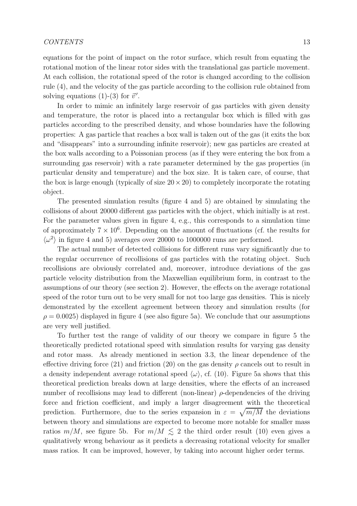equations for the point of impact on the rotor surface, which result from equating the rotational motion of the linear rotor sides with the translational gas particle movement. At each collision, the rotational speed of the rotor is changed according to the collision rule (4), and the velocity of the gas particle according to the collision rule obtained from solving equations (1)-(3) for  $\vec{v}'$ .

In order to mimic an infinitely large reservoir of gas particles with given density and temperature, the rotor is placed into a rectangular box which is filled with gas particles according to the prescribed density, and whose boundaries have the following properties: A gas particle that reaches a box wall is taken out of the gas (it exits the box and "disappears" into a surrounding infinite reservoir); new gas particles are created at the box walls according to a Poissonian process (as if they were entering the box from a surrounding gas reservoir) with a rate parameter determined by the gas properties (in particular density and temperature) and the box size. It is taken care, of course, that the box is large enough (typically of size  $20 \times 20$ ) to completely incorporate the rotating object.

The presented simulation results (figure 4 and 5) are obtained by simulating the collisions of about 20000 different gas particles with the object, which initially is at rest. For the parameter values given in figure 4, e.g., this corresponds to a simulation time of approximately  $7 \times 10^6$ . Depending on the amount of fluctuations (cf. the results for  $\langle \omega^2 \rangle$  in figure 4 and 5) averages over 20000 to 1000000 runs are performed.

The actual number of detected collisions for different runs vary significantly due to the regular occurrence of recollisions of gas particles with the rotating object. Such recollisions are obviously correlated and, moreover, introduce deviations of the gas particle velocity distribution from the Maxwellian equilibrium form, in contrast to the assumptions of our theory (see section 2). However, the effects on the average rotational speed of the rotor turn out to be very small for not too large gas densities. This is nicely demonstrated by the excellent agreement between theory and simulation results (for  $\rho = 0.0025$ ) displayed in figure 4 (see also figure 5a). We conclude that our assumptions are very well justified.

To further test the range of validity of our theory we compare in figure 5 the theoretically predicted rotational speed with simulation results for varying gas density and rotor mass. As already mentioned in section 3.3, the linear dependence of the effective driving force (21) and friction (20) on the gas density  $\rho$  cancels out to result in a density independent average rotational speed  $\langle \omega \rangle$ , cf. (10). Figure 5a shows that this theoretical prediction breaks down at large densities, where the effects of an increased number of recollisions may lead to different (non-linear)  $\rho$ -dependencies of the driving force and friction coefficient, and imply a larger disagreement with the theoretical prediction. Furthermore, due to the series expansion in  $\varepsilon = \sqrt{m/M}$  the deviations between theory and simulations are expected to become more notable for smaller mass ratios  $m/M$ , see figure 5b. For  $m/M \leq 2$  the third order result (10) even gives a qualitatively wrong behaviour as it predicts a decreasing rotational velocity for smaller mass ratios. It can be improved, however, by taking into account higher order terms.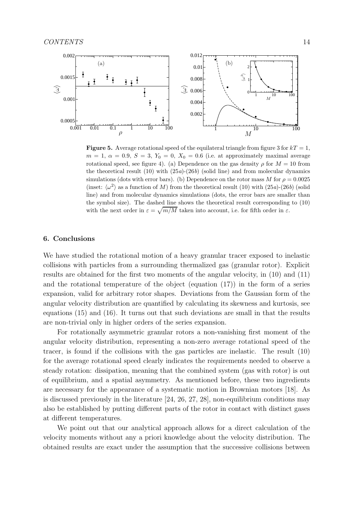

**Figure 5.** Average rotational speed of the equilateral triangle from figure 3 for  $kT = 1$ ,  $m = 1, \ \alpha = 0.9, \ S = 3, \ Y_0 = 0, \ X_0 = 0.6$  (i.e. at approximately maximal average rotational speed, see figure 4). (a) Dependence on the gas density  $\rho$  for  $M = 10$  from the theoretical result  $(10)$  with  $(25a)-(26b)$  (solid line) and from molecular dynamics simulations (dots with error bars). (b) Dependence on the rotor mass M for  $\rho = 0.0025$ (inset:  $\langle \omega^2 \rangle$ ) as a function of M) from the theoretical result (10) with (25a)-(26b) (solid line) and from molecular dynamics simulations (dots, the error bars are smaller than the symbol size). The dashed line shows the theoretical result corresponding to (10) with the next order in  $\varepsilon = \sqrt{m/M}$  taken into account, i.e. for fifth order in  $\varepsilon$ .

#### 6. Conclusions

We have studied the rotational motion of a heavy granular tracer exposed to inelastic collisions with particles from a surrounding thermalized gas (granular rotor). Explicit results are obtained for the first two moments of the angular velocity, in (10) and (11) and the rotational temperature of the object (equation  $(17)$ ) in the form of a series expansion, valid for arbitrary rotor shapes. Deviations from the Gaussian form of the angular velocity distribution are quantified by calculating its skewness and kurtosis, see equations (15) and (16). It turns out that such deviations are small in that the results are non-trivial only in higher orders of the series expansion.

For rotationally asymmetric granular rotors a non-vanishing first moment of the angular velocity distribution, representing a non-zero average rotational speed of the tracer, is found if the collisions with the gas particles are inelastic. The result (10) for the average rotational speed clearly indicates the requirements needed to observe a steady rotation: dissipation, meaning that the combined system (gas with rotor) is out of equilibrium, and a spatial asymmetry. As mentioned before, these two ingredients are necessary for the appearance of a systematic motion in Brownian motors [18]. As is discussed previously in the literature [24, 26, 27, 28], non-equilibrium conditions may also be established by putting different parts of the rotor in contact with distinct gases at different temperatures.

We point out that our analytical approach allows for a direct calculation of the velocity moments without any a priori knowledge about the velocity distribution. The obtained results are exact under the assumption that the successive collisions between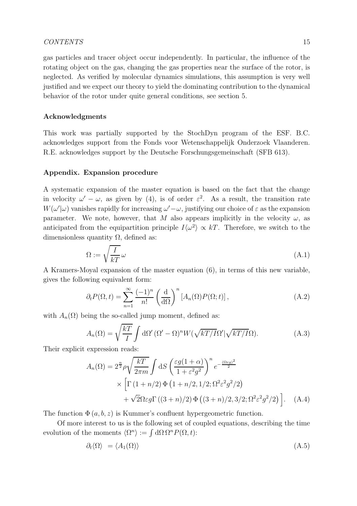gas particles and tracer object occur independently. In particular, the influence of the rotating object on the gas, changing the gas properties near the surface of the rotor, is neglected. As verified by molecular dynamics simulations, this assumption is very well justified and we expect our theory to yield the dominating contribution to the dynamical behavior of the rotor under quite general conditions, see section 5.

# Acknowledgments

This work was partially supported by the StochDyn program of the ESF. B.C. acknowledges support from the Fonds voor Wetenschappelijk Onderzoek Vlaanderen. R.E. acknowledges support by the Deutsche Forschungsgemeinschaft (SFB 613).

#### Appendix. Expansion procedure

A systematic expansion of the master equation is based on the fact that the change in velocity  $\omega' - \omega$ , as given by (4), is of order  $\varepsilon^2$ . As a result, the transition rate  $W(\omega'|\omega)$  vanishes rapidly for increasing  $\omega' - \omega$ , justifying our choice of  $\varepsilon$  as the expansion parameter. We note, however, that M also appears implicitly in the velocity  $\omega$ , as anticipated from the equipartition principle  $I\langle \omega^2 \rangle \propto kT$ . Therefore, we switch to the dimensionless quantity  $\Omega$ , defined as:

$$
\Omega := \sqrt{\frac{I}{kT}} \omega \tag{A.1}
$$

A Kramers-Moyal expansion of the master equation (6), in terms of this new variable, gives the following equivalent form:

$$
\partial_t P(\Omega, t) = \sum_{n=1}^{\infty} \frac{(-1)^n}{n!} \left(\frac{\mathrm{d}}{\mathrm{d}\Omega}\right)^n \left[A_n(\Omega) P(\Omega; t)\right],\tag{A.2}
$$

with  $A_n(\Omega)$  being the so-called jump moment, defined as:

$$
A_n(\Omega) = \sqrt{\frac{kT}{I}} \int d\Omega' \left(\Omega' - \Omega\right)^n W(\sqrt{kT/I}\Omega') \sqrt{kT/I}\Omega). \tag{A.3}
$$

Their explicit expression reads:

$$
A_n(\Omega) = 2^{\frac{n}{2}} \rho \sqrt{\frac{kT}{2\pi m}} \int dS \left( \frac{\varepsilon g (1+\alpha)}{1+\varepsilon^2 g^2} \right)^n e^{-\frac{(\Omega \varepsilon g)^2}{2}} \times \left[ \Gamma (1+n/2) \Phi (1+n/2, 1/2; \Omega^2 \varepsilon^2 g^2 / 2) + \sqrt{2} \Omega \varepsilon g \Gamma ((3+n)/2) \Phi ((3+n)/2, 3/2; \Omega^2 \varepsilon^2 g^2 / 2) \right]. \quad (A.4)
$$

The function  $\Phi(a, b, z)$  is Kummer's confluent hypergeometric function.

Of more interest to us is the following set of coupled equations, describing the time evolution of the moments  $\langle \Omega^n \rangle := \int d\Omega \, \Omega^n P(\Omega, t)$ :

$$
\partial_t \langle \Omega \rangle = \langle A_1(\Omega) \rangle \tag{A.5}
$$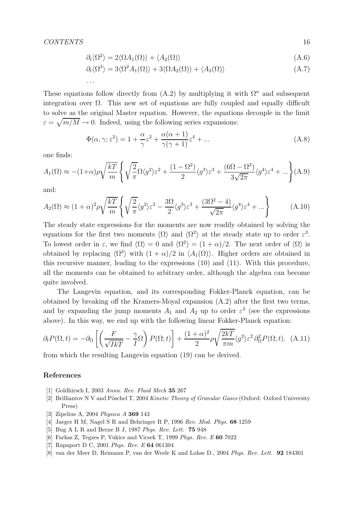. . .

$$
\partial_t \langle \Omega^2 \rangle = 2 \langle \Omega A_1(\Omega) \rangle + \langle A_2(\Omega) \rangle \tag{A.6}
$$

$$
\partial_t \langle \Omega^3 \rangle = 3 \langle \Omega^2 A_1(\Omega) \rangle + 3 \langle \Omega A_2(\Omega) \rangle + \langle A_3(\Omega) \rangle \tag{A.7}
$$

These equations follow directly from  $(A.2)$  by multiplying it with  $\Omega^n$  and subsequent integration over  $\Omega$ . This new set of equations are fully coupled and equally difficult to solve as the original Master equation. However, the equations decouple in the limit  $\varepsilon = \sqrt{m/M} \to 0$ . Indeed, using the following series expansions:

$$
\Phi(\alpha, \gamma; z^2) = 1 + \frac{\alpha}{\gamma} z^2 + \frac{\alpha(\alpha + 1)}{\gamma(\gamma + 1)} z^4 + \dots
$$
\n(A.8)

one finds:

$$
A_1(\Omega) \approx -(1+\alpha)\rho\sqrt{\frac{kT}{m}} \left\{ \sqrt{\frac{2}{\pi}}\Omega\langle g^2 \rangle \varepsilon^2 + \frac{(1-\Omega^2)}{2}\langle g^3 \rangle \varepsilon^3 + \frac{(6\Omega - \Omega^3)}{3\sqrt{2\pi}}\langle g^4 \rangle \varepsilon^4 + \dots \right\} (A.9)
$$

and:

$$
A_2(\Omega) \approx (1+\alpha)^2 \rho \sqrt{\frac{kT}{m}} \left\{ \sqrt{\frac{2}{\pi}} \langle g^2 \rangle \varepsilon^2 - \frac{3\Omega}{2} \langle g^3 \rangle \varepsilon^3 + \frac{(3\Omega^2 - 4)}{\sqrt{2\pi}} \langle g^4 \rangle \varepsilon^4 + \dots \right\}
$$
(A.10)

The steady state expressions for the moments are now readily obtained by solving the equations for the first two moments  $\langle \Omega \rangle$  and  $\langle \Omega^2 \rangle$  at the steady state up to order  $\varepsilon^3$ . To lowest order in  $\varepsilon$ , we find  $\langle \Omega \rangle = 0$  and  $\langle \Omega^2 \rangle = (1 + \alpha)/2$ . The next order of  $\langle \Omega \rangle$  is obtained by replacing  $\langle \Omega^2 \rangle$  with  $(1 + \alpha)/2$  in  $\langle A_1(\Omega) \rangle$ . Higher orders are obtained in this recursive manner, leading to the expressions (10) and (11). With this procedure, all the moments can be obtained to arbitrary order, although the algebra can become quite involved.

The Langevin equation, and its corresponding Fokker-Planck equation, can be obtained by breaking off the Kramers-Moyal expansion (A.2) after the first two terms, and by expanding the jump moments  $A_1$  and  $A_2$  up to order  $\varepsilon^3$  (see the expressions above). In this way, we end up with the following linear Fokker-Planck equation:

$$
\partial_t P(\Omega, t) = -\partial_\Omega \left[ \left( \frac{F}{\sqrt{IKT}} - \frac{\gamma}{I} \Omega \right) P(\Omega; t) \right] + \frac{(1+\alpha)^2}{2} \rho \sqrt{\frac{2kT}{\pi m}} \langle g^2 \rangle \varepsilon^2 \partial_\Omega^2 P(\Omega; t). \tag{A.11}
$$

from which the resulting Langevin equation (19) can be derived.

#### References

- [1] Goldhirsch I, 2003 Annu. Rev. Fluid Mech 35 267
- [2] Brilliantov N V and Pöschel T, 2004 Kinetic Theory of Granular Gases (Oxford: Oxford University Press)
- [3] Zipelius A, 2004 Physica A 369 143
- [4] Jaeger H M, Nagel S R and Behringer R P, 1996 Rev. Mod. Phys. 68 1259
- [5] Bug A L R and Berne B J, 1987 Phys. Rev. Lett. 75 948
- [6] Farkas Z, Tegzes P, Vukics and Vicsek T, 1999 Phys. Rev. E 60 7022
- [7] Rapaport D C, 2001 *Phys. Rev. E* **64** 061304
- [8] van der Meer D, Reimann P, van der Weele K and Lohse D., 2004 Phys. Rev. Lett. 92 184301